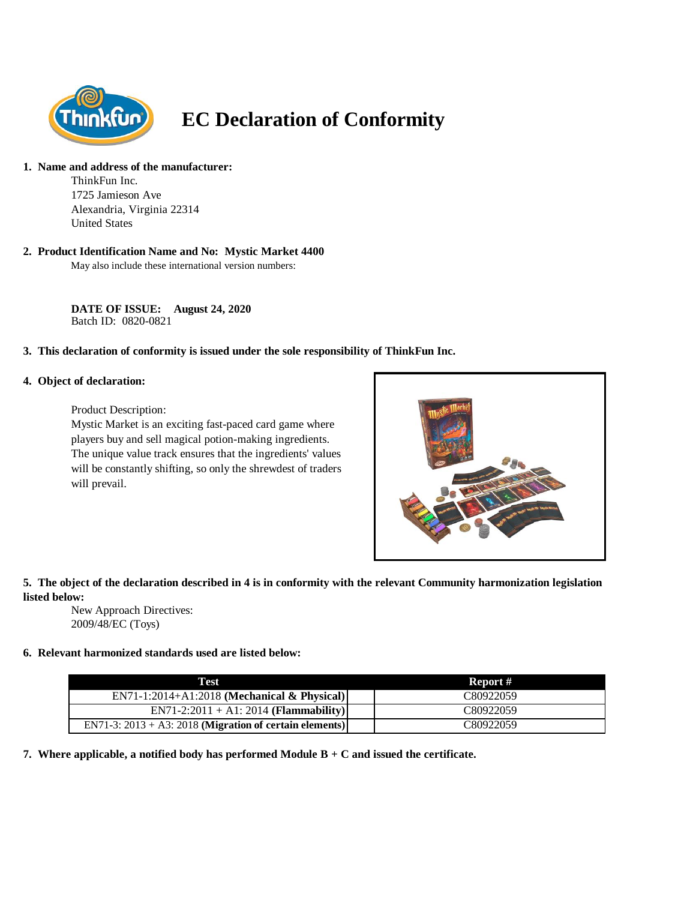

# **EC Declaration of Conformity**

# **1. Name and address of the manufacturer:**

ThinkFun Inc. 1725 Jamieson Ave Alexandria, Virginia 22314 United States

#### **2. Product Identification Name and No: Mystic Market 4400**

May also include these international version numbers:

**DATE OF ISSUE: August 24, 2020** Batch ID: 0820-0821

# **3. This declaration of conformity is issued under the sole responsibility of ThinkFun Inc.**

#### **4. Object of declaration:**

Product Description:

Mystic Market is an exciting fast-paced card game where players buy and sell magical potion-making ingredients. The unique value track ensures that the ingredients' values will be constantly shifting, so only the shrewdest of traders will prevail.



# **5. The object of the declaration described in 4 is in conformity with the relevant Community harmonization legislation listed below:**

New Approach Directives: 2009/48/EC (Toys)

# **6. Relevant harmonized standards used are listed below:**

| Test                                                       | Report #  |
|------------------------------------------------------------|-----------|
| $EN71-1:2014+A1:2018$ (Mechanical & Physical)              | C80922059 |
| $EN71-2:2011 + A1:2014 (Flammablity)$                      | C80922059 |
| EN71-3: $2013 + A3$ : 2018 (Migration of certain elements) | C80922059 |

**7. Where applicable, a notified body has performed Module B + C and issued the certificate.**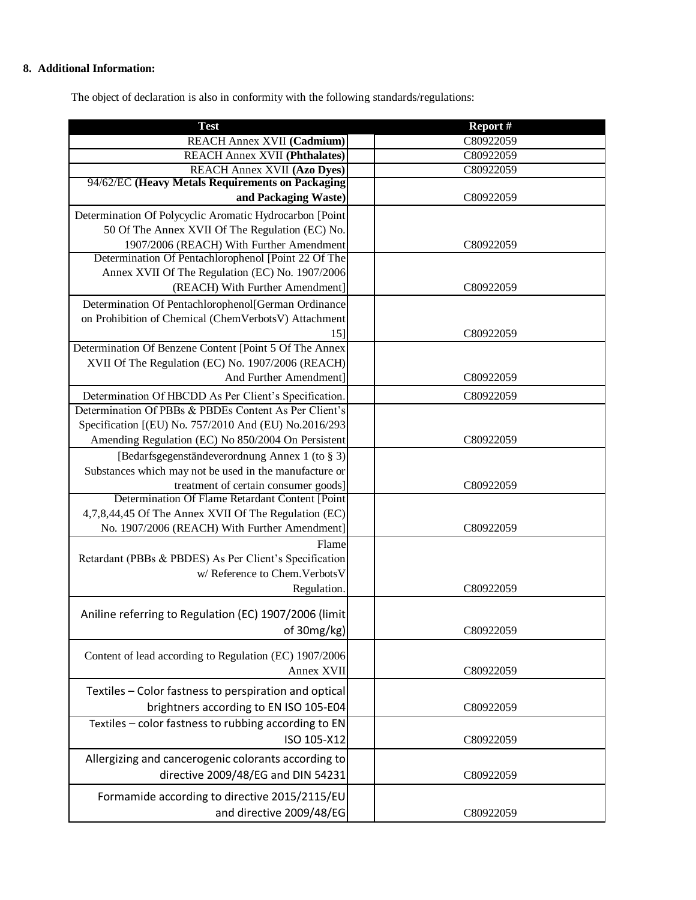# **8. Additional Information:**

The object of declaration is also in conformity with the following standards/regulations:

| <b>Test</b>                                                                               | Report #  |
|-------------------------------------------------------------------------------------------|-----------|
| REACH Annex XVII (Cadmium)                                                                | C80922059 |
| <b>REACH Annex XVII (Phthalates)</b>                                                      | C80922059 |
| <b>REACH Annex XVII (Azo Dyes)</b>                                                        | C80922059 |
| 94/62/EC (Heavy Metals Requirements on Packaging                                          |           |
| and Packaging Waste)                                                                      | C80922059 |
| Determination Of Polycyclic Aromatic Hydrocarbon [Point                                   |           |
| 50 Of The Annex XVII Of The Regulation (EC) No.                                           |           |
| 1907/2006 (REACH) With Further Amendment                                                  | C80922059 |
| Determination Of Pentachlorophenol [Point 22 Of The                                       |           |
| Annex XVII Of The Regulation (EC) No. 1907/2006                                           |           |
| (REACH) With Further Amendment]                                                           | C80922059 |
| Determination Of Pentachlorophenol[German Ordinance                                       |           |
| on Prohibition of Chemical (ChemVerbotsV) Attachment                                      |           |
| 15]                                                                                       | C80922059 |
| Determination Of Benzene Content [Point 5 Of The Annex                                    |           |
| XVII Of The Regulation (EC) No. 1907/2006 (REACH)                                         |           |
| And Further Amendment]                                                                    | C80922059 |
| Determination Of HBCDD As Per Client's Specification.                                     | C80922059 |
| Determination Of PBBs & PBDEs Content As Per Client's                                     |           |
| Specification [(EU) No. 757/2010 And (EU) No.2016/293                                     |           |
| Amending Regulation (EC) No 850/2004 On Persistent                                        | C80922059 |
| [Bedarfsgegenständeverordnung Annex 1 (to § 3)]                                           |           |
| Substances which may not be used in the manufacture or                                    |           |
| treatment of certain consumer goods]                                                      | C80922059 |
| Determination Of Flame Retardant Content [Point                                           |           |
| 4,7,8,44,45 Of The Annex XVII Of The Regulation (EC)                                      |           |
| No. 1907/2006 (REACH) With Further Amendment]                                             | C80922059 |
| Flame                                                                                     |           |
| Retardant (PBBs & PBDES) As Per Client's Specification<br>w/ Reference to Chem. Verbots V |           |
| Regulation.                                                                               | C80922059 |
|                                                                                           |           |
| Aniline referring to Regulation (EC) 1907/2006 (limit                                     |           |
| of 30mg/kg)                                                                               | C80922059 |
|                                                                                           |           |
| Content of lead according to Regulation (EC) 1907/2006                                    |           |
| Annex XVII                                                                                | C80922059 |
| Textiles - Color fastness to perspiration and optical                                     |           |
| brightners according to EN ISO 105-E04                                                    | C80922059 |
| Textiles - color fastness to rubbing according to EN                                      |           |
| ISO 105-X12                                                                               | C80922059 |
|                                                                                           |           |
| Allergizing and cancerogenic colorants according to                                       |           |
| directive 2009/48/EG and DIN 54231                                                        | C80922059 |
| Formamide according to directive 2015/2115/EU                                             |           |
| and directive 2009/48/EG                                                                  | C80922059 |